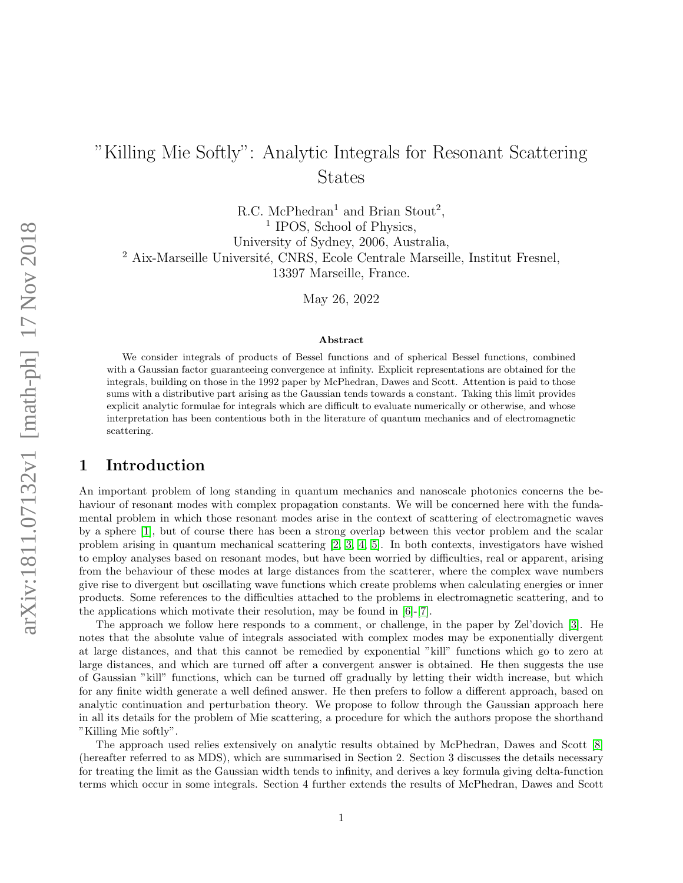# "Killing Mie Softly": Analytic Integrals for Resonant Scattering States

R.C. McPhedran<sup>1</sup> and Brian Stout<sup>2</sup>, <sup>1</sup> IPOS, School of Physics, University of Sydney, 2006, Australia, <sup>2</sup> Aix-Marseille Université, CNRS, Ecole Centrale Marseille, Institut Fresnel, 13397 Marseille, France.

May 26, 2022

#### Abstract

We consider integrals of products of Bessel functions and of spherical Bessel functions, combined with a Gaussian factor guaranteeing convergence at infinity. Explicit representations are obtained for the integrals, building on those in the 1992 paper by McPhedran, Dawes and Scott. Attention is paid to those sums with a distributive part arising as the Gaussian tends towards a constant. Taking this limit provides explicit analytic formulae for integrals which are difficult to evaluate numerically or otherwise, and whose interpretation has been contentious both in the literature of quantum mechanics and of electromagnetic scattering.

## 1 Introduction

An important problem of long standing in quantum mechanics and nanoscale photonics concerns the behaviour of resonant modes with complex propagation constants. We will be concerned here with the fundamental problem in which those resonant modes arise in the context of scattering of electromagnetic waves by a sphere [\[1\]](#page-16-0), but of course there has been a strong overlap between this vector problem and the scalar problem arising in quantum mechanical scattering [\[2,](#page-16-1) [3,](#page-16-2) [4,](#page-16-3) [5\]](#page-16-4). In both contexts, investigators have wished to employ analyses based on resonant modes, but have been worried by difficulties, real or apparent, arising from the behaviour of these modes at large distances from the scatterer, where the complex wave numbers give rise to divergent but oscillating wave functions which create problems when calculating energies or inner products. Some references to the difficulties attached to the problems in electromagnetic scattering, and to the applications which motivate their resolution, may be found in [\[6\]](#page-17-0)-[\[7\]](#page-17-1).

The approach we follow here responds to a comment, or challenge, in the paper by Zel'dovich [\[3\]](#page-16-2). He notes that the absolute value of integrals associated with complex modes may be exponentially divergent at large distances, and that this cannot be remedied by exponential "kill" functions which go to zero at large distances, and which are turned off after a convergent answer is obtained. He then suggests the use of Gaussian "kill" functions, which can be turned off gradually by letting their width increase, but which for any finite width generate a well defined answer. He then prefers to follow a different approach, based on analytic continuation and perturbation theory. We propose to follow through the Gaussian approach here in all its details for the problem of Mie scattering, a procedure for which the authors propose the shorthand "Killing Mie softly".

The approach used relies extensively on analytic results obtained by McPhedran, Dawes and Scott [\[8\]](#page-17-2) (hereafter referred to as MDS), which are summarised in Section 2. Section 3 discusses the details necessary for treating the limit as the Gaussian width tends to infinity, and derives a key formula giving delta-function terms which occur in some integrals. Section 4 further extends the results of McPhedran, Dawes and Scott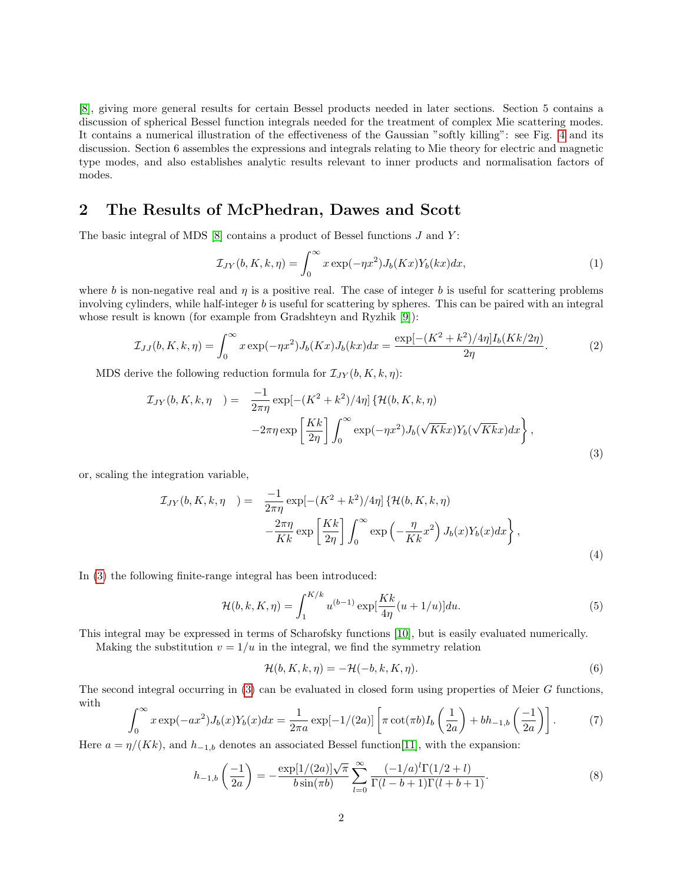[\[8\]](#page-17-2), giving more general results for certain Bessel products needed in later sections. Section 5 contains a discussion of spherical Bessel function integrals needed for the treatment of complex Mie scattering modes. It contains a numerical illustration of the effectiveness of the Gaussian "softly killing": see Fig. [4](#page-11-0) and its discussion. Section 6 assembles the expressions and integrals relating to Mie theory for electric and magnetic type modes, and also establishes analytic results relevant to inner products and normalisation factors of modes.

## 2 The Results of McPhedran, Dawes and Scott

The basic integral of MDS  $[8]$  contains a product of Bessel functions  $J$  and  $Y$ :

$$
\mathcal{I}_{JY}(b,K,k,\eta) = \int_0^\infty x \exp(-\eta x^2) J_b(Kx) Y_b(kx) dx, \tag{1}
$$

where b is non-negative real and  $\eta$  is a positive real. The case of integer b is useful for scattering problems involving cylinders, while half-integer b is useful for scattering by spheres. This can be paired with an integral whose result is known (for example from Gradshteyn and Ryzhik [\[9\]](#page-17-3)):

<span id="page-1-2"></span>
$$
\mathcal{I}_{JJ}(b,K,k,\eta) = \int_0^\infty x \exp(-\eta x^2) J_b(Kx) J_b(kx) dx = \frac{\exp[-(K^2 + k^2)/4\eta] I_b(Kk/2\eta)}{2\eta}.
$$
 (2)

MDS derive the following reduction formula for  $\mathcal{I}_{JY}(b, K, k, \eta)$ :

<span id="page-1-0"></span>
$$
\mathcal{I}_{JY}(b,K,k,\eta) = \frac{-1}{2\pi\eta} \exp[-(K^2 + k^2)/4\eta] \left\{ \mathcal{H}(b,K,k,\eta) -2\pi\eta \exp\left[\frac{Kk}{2\eta}\right] \int_0^\infty \exp(-\eta x^2) J_b(\sqrt{Kk}x) Y_b(\sqrt{Kk}x) dx \right\},
$$
\n(3)

or, scaling the integration variable,

$$
\mathcal{I}_{JY}(b, K, k, \eta) = \frac{-1}{2\pi\eta} \exp[-(K^2 + k^2)/4\eta] \left\{ \mathcal{H}(b, K, k, \eta) -\frac{2\pi\eta}{Kk} \exp\left[\frac{Kk}{2\eta}\right] \int_0^\infty \exp\left(-\frac{\eta}{Kk} x^2\right) J_b(x) Y_b(x) dx \right\},\tag{4}
$$

In [\(3\)](#page-1-0) the following finite-range integral has been introduced:

$$
\mathcal{H}(b,k,K,\eta) = \int_{1}^{K/k} u^{(b-1)} \exp[\frac{Kk}{4\eta}(u+1/u)] du.
$$
 (5)

This integral may be expressed in terms of Scharofsky functions [\[10\]](#page-17-4), but is easily evaluated numerically.

Making the substitution  $v = 1/u$  in the integral, we find the symmetry relation

<span id="page-1-4"></span>
$$
\mathcal{H}(b, K, k, \eta) = -\mathcal{H}(-b, k, K, \eta). \tag{6}
$$

The second integral occurring in [\(3\)](#page-1-0) can be evaluated in closed form using properties of Meier G functions, with

<span id="page-1-1"></span>
$$
\int_0^\infty x \exp(-ax^2) J_b(x) Y_b(x) dx = \frac{1}{2\pi a} \exp[-1/(2a)] \left[ \pi \cot(\pi b) I_b\left(\frac{1}{2a}\right) + bh_{-1,b}\left(\frac{-1}{2a}\right) \right].
$$
 (7)

Here  $a = \eta/(Kk)$ , and  $h_{-1,b}$  denotes an associated Bessel function[\[11\]](#page-17-5), with the expansion:

<span id="page-1-3"></span>
$$
h_{-1,b}\left(\frac{-1}{2a}\right) = -\frac{\exp[1/(2a)]\sqrt{\pi}}{b\sin(\pi b)} \sum_{l=0}^{\infty} \frac{(-1/a)^l \Gamma(1/2 + l)}{\Gamma(l - b + 1)\Gamma(l + b + 1)}.
$$
(8)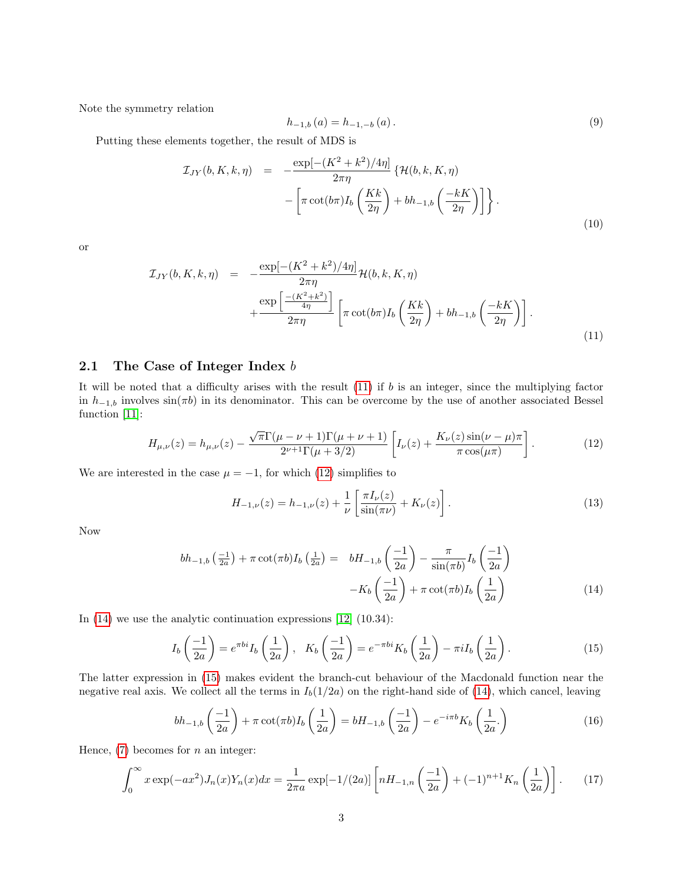Note the symmetry relation

<span id="page-2-5"></span>
$$
h_{-1,b}(a) = h_{-1,-b}(a). \tag{9}
$$

Putting these elements together, the result of MDS is

$$
\mathcal{I}_{JY}(b,K,k,\eta) = -\frac{\exp[-(K^2 + k^2)/4\eta]}{2\pi\eta} \left\{ \mathcal{H}(b,k,K,\eta) - \left[ \pi \cot(b\pi) I_b \left( \frac{Kk}{2\eta} \right) + bh_{-1,b} \left( \frac{-kK}{2\eta} \right) \right] \right\}.
$$
\n(10)

or

<span id="page-2-0"></span>
$$
\mathcal{I}_{JY}(b,K,k,\eta) = -\frac{\exp[-(K^2+k^2)/4\eta]}{2\pi\eta} \mathcal{H}(b,k,K,\eta) + \frac{\exp\left[\frac{-(K^2+k^2)}{4\eta}\right]}{2\pi\eta} \left[\pi\cot(b\pi)I_b\left(\frac{Kk}{2\eta}\right) + bh_{-1,b}\left(\frac{-kK}{2\eta}\right)\right].
$$
\n(11)

### 2.1 The Case of Integer Index b

It will be noted that a difficulty arises with the result  $(11)$  if b is an integer, since the multiplying factor in  $h_{-1,b}$  involves  $sin(\pi b)$  in its denominator. This can be overcome by the use of another associated Bessel function [\[11\]](#page-17-5):

<span id="page-2-1"></span>
$$
H_{\mu,\nu}(z) = h_{\mu,\nu}(z) - \frac{\sqrt{\pi}\Gamma(\mu - \nu + 1)\Gamma(\mu + \nu + 1)}{2^{\nu+1}\Gamma(\mu + 3/2)} \left[ I_{\nu}(z) + \frac{K_{\nu}(z)\sin(\nu - \mu)\pi}{\pi \cos(\mu\pi)} \right].
$$
 (12)

We are interested in the case  $\mu = -1$ , for which [\(12\)](#page-2-1) simplifies to

$$
H_{-1,\nu}(z) = h_{-1,\nu}(z) + \frac{1}{\nu} \left[ \frac{\pi I_{\nu}(z)}{\sin(\pi \nu)} + K_{\nu}(z) \right].
$$
 (13)

Now

<span id="page-2-2"></span>
$$
bh_{-1,b}\left(\frac{-1}{2a}\right) + \pi \cot(\pi b)I_b\left(\frac{1}{2a}\right) = bH_{-1,b}\left(\frac{-1}{2a}\right) - \frac{\pi}{\sin(\pi b)}I_b\left(\frac{-1}{2a}\right)
$$

$$
-K_b\left(\frac{-1}{2a}\right) + \pi \cot(\pi b)I_b\left(\frac{1}{2a}\right)
$$
(14)

In [\(14\)](#page-2-2) we use the analytic continuation expressions [\[12\]](#page-17-6) (10.34):

<span id="page-2-3"></span>
$$
I_b\left(\frac{-1}{2a}\right) = e^{\pi bi} I_b\left(\frac{1}{2a}\right), \quad K_b\left(\frac{-1}{2a}\right) = e^{-\pi bi} K_b\left(\frac{1}{2a}\right) - \pi i I_b\left(\frac{1}{2a}\right). \tag{15}
$$

The latter expression in [\(15\)](#page-2-3) makes evident the branch-cut behaviour of the Macdonald function near the negative real axis. We collect all the terms in  $I_b(1/2a)$  on the right-hand side of [\(14\)](#page-2-2), which cancel, leaving

$$
bh_{-1,b}\left(\frac{-1}{2a}\right) + \pi \cot(\pi b)I_b\left(\frac{1}{2a}\right) = bH_{-1,b}\left(\frac{-1}{2a}\right) - e^{-i\pi b}K_b\left(\frac{1}{2a}\right)
$$
\n
$$
(16)
$$

Hence,  $(7)$  becomes for n an integer:

<span id="page-2-4"></span>
$$
\int_0^\infty x \exp(-ax^2) J_n(x) Y_n(x) dx = \frac{1}{2\pi a} \exp[-1/(2a)] \left[ nH_{-1,n} \left( \frac{-1}{2a} \right) + (-1)^{n+1} K_n \left( \frac{1}{2a} \right) \right].
$$
 (17)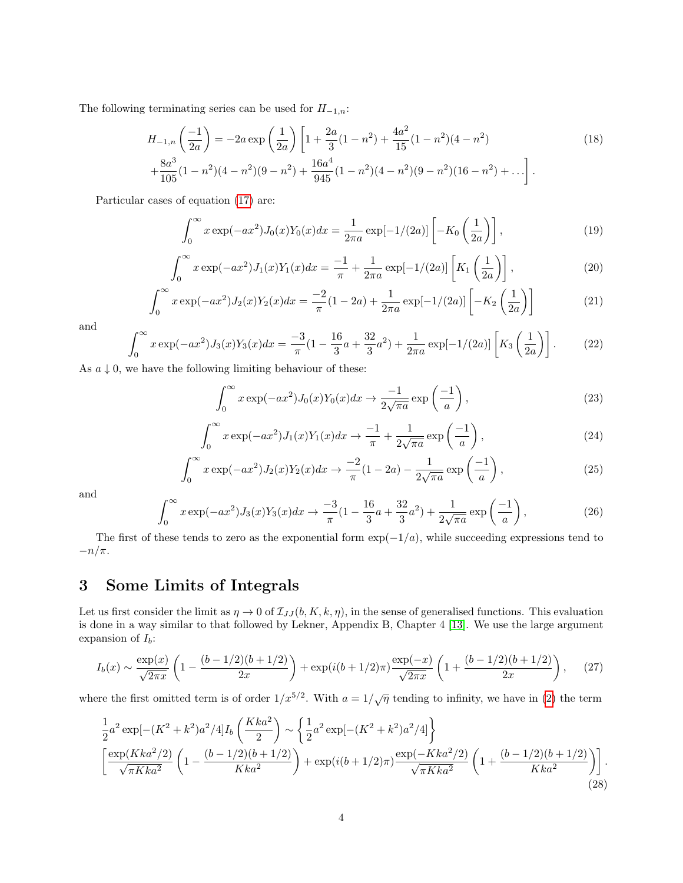The following terminating series can be used for  $H_{-1,n}$ :

$$
H_{-1,n}\left(\frac{-1}{2a}\right) = -2a \exp\left(\frac{1}{2a}\right) \left[1 + \frac{2a}{3}(1 - n^2) + \frac{4a^2}{15}(1 - n^2)(4 - n^2) + \frac{8a^3}{105}(1 - n^2)(4 - n^2)(9 - n^2) + \frac{16a^4}{945}(1 - n^2)(9 - n^2)(9 - n^2)(16 - n^2) + \dots\right].
$$
\n(18)

Particular cases of equation [\(17\)](#page-2-4) are:

$$
\int_0^\infty x \exp(-ax^2) J_0(x) Y_0(x) dx = \frac{1}{2\pi a} \exp[-1/(2a)] \left[ -K_0 \left( \frac{1}{2a} \right) \right],\tag{19}
$$

$$
\int_0^\infty x \exp(-ax^2) J_1(x) Y_1(x) dx = \frac{-1}{\pi} + \frac{1}{2\pi a} \exp[-1/(2a)] \left[ K_1\left(\frac{1}{2a}\right) \right],\tag{20}
$$

$$
\int_0^\infty x \exp(-ax^2) J_2(x) Y_2(x) dx = \frac{-2}{\pi} (1 - 2a) + \frac{1}{2\pi a} \exp[-1/(2a)] \left[ -K_2 \left( \frac{1}{2a} \right) \right]
$$
(21)

and

$$
\int_0^\infty x \exp(-ax^2) J_3(x) Y_3(x) dx = \frac{-3}{\pi} (1 - \frac{16}{3}a + \frac{32}{3}a^2) + \frac{1}{2\pi a} \exp[-1/(2a)] \left[ K_3 \left( \frac{1}{2a} \right) \right].
$$
 (22)

As  $a \downarrow 0$ , we have the following limiting behaviour of these:

$$
\int_0^\infty x \exp(-ax^2) J_0(x) Y_0(x) dx \to \frac{-1}{2\sqrt{\pi a}} \exp\left(\frac{-1}{a}\right),\tag{23}
$$

$$
\int_0^\infty x \exp(-ax^2) J_1(x) Y_1(x) dx \to \frac{-1}{\pi} + \frac{1}{2\sqrt{\pi a}} \exp\left(\frac{-1}{a}\right),\tag{24}
$$

$$
\int_0^\infty x \exp(-ax^2) J_2(x) Y_2(x) dx \to \frac{-2}{\pi} (1 - 2a) - \frac{1}{2\sqrt{\pi a}} \exp\left(-\frac{1}{a}\right),\tag{25}
$$

and

$$
\int_0^\infty x \exp(-ax^2) J_3(x) Y_3(x) dx \to \frac{-3}{\pi} \left(1 - \frac{16}{3}a + \frac{32}{3}a^2\right) + \frac{1}{2\sqrt{\pi a}} \exp\left(-\frac{1}{a}\right),\tag{26}
$$

The first of these tends to zero as the exponential form  $\exp(-1/a)$ , while succeeding expressions tend to  $-n/\pi$ .

# 3 Some Limits of Integrals

 $\cdot$ 

Let us first consider the limit as  $\eta \to 0$  of  $\mathcal{I}_{JJ}(b, K, k, \eta)$ , in the sense of generalised functions. This evaluation is done in a way similar to that followed by Lekner, Appendix B, Chapter 4 [\[13\]](#page-17-7). We use the large argument expansion of  $I_b$ :

$$
I_b(x) \sim \frac{\exp(x)}{\sqrt{2\pi x}} \left( 1 - \frac{(b - 1/2)(b + 1/2)}{2x} \right) + \exp(i(b + 1/2)\pi) \frac{\exp(-x)}{\sqrt{2\pi x}} \left( 1 + \frac{(b - 1/2)(b + 1/2)}{2x} \right), \tag{27}
$$

where the first omitted term is of order  $1/x^{5/2}$ . With  $a = 1/\sqrt{\eta}$  tending to infinity, we have in [\(2\)](#page-1-2) the term

<span id="page-3-0"></span>
$$
\frac{1}{2}a^2 \exp[-(K^2 + k^2)a^2/4]I_b\left(\frac{Kka^2}{2}\right) \sim \left\{\frac{1}{2}a^2 \exp[-(K^2 + k^2)a^2/4]\right\}
$$
\n
$$
\left[\frac{\exp(Kka^2/2)}{\sqrt{\pi Kka^2}}\left(1 - \frac{(b-1/2)(b+1/2)}{Kka^2}\right) + \exp(i(b+1/2)\pi)\frac{\exp(-Kka^2/2)}{\sqrt{\pi Kka^2}}\left(1 + \frac{(b-1/2)(b+1/2)}{Kka^2}\right)\right].
$$
\n(28)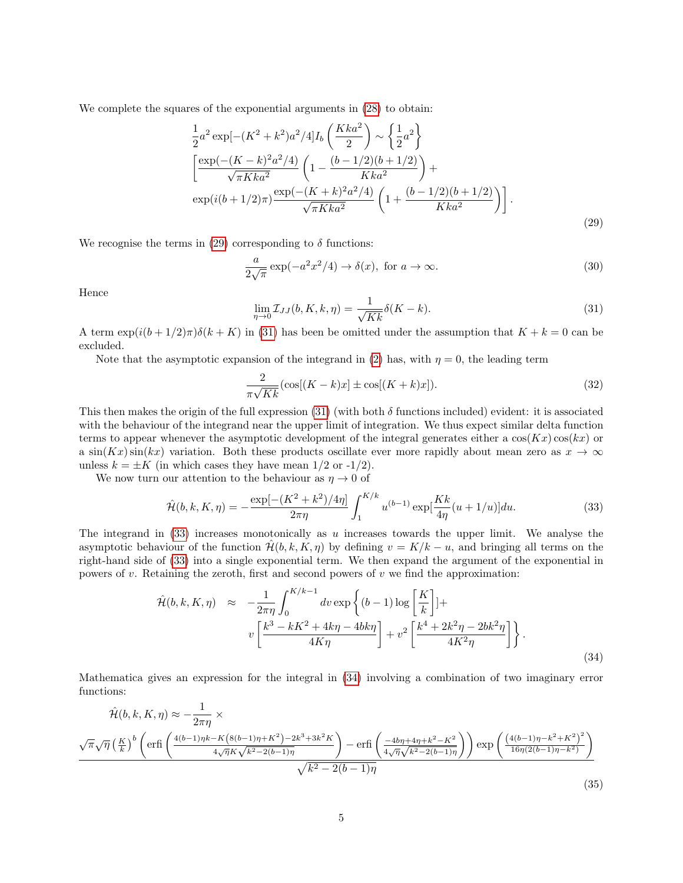We complete the squares of the exponential arguments in [\(28\)](#page-3-0) to obtain:

<span id="page-4-0"></span>
$$
\frac{1}{2}a^2 \exp[-(K^2 + k^2)a^2/4]I_b\left(\frac{Kka^2}{2}\right) \sim \left\{\frac{1}{2}a^2\right\}
$$
\n
$$
\left[\frac{\exp(-(K-k)^2a^2/4)}{\sqrt{\pi Kka^2}}\left(1 - \frac{(b-1/2)(b+1/2)}{Kka^2}\right) + \exp(i(b+1/2)\pi)\frac{\exp(-(K+k)^2a^2/4)}{\sqrt{\pi Kka^2}}\left(1 + \frac{(b-1/2)(b+1/2)}{Kka^2}\right)\right].
$$
\n(29)

We recognise the terms in [\(29\)](#page-4-0) corresponding to  $\delta$  functions:

<span id="page-4-4"></span>
$$
\frac{a}{2\sqrt{\pi}}\exp(-a^2x^2/4) \to \delta(x), \text{ for } a \to \infty.
$$
 (30)

Hence

<span id="page-4-1"></span>
$$
\lim_{\eta \to 0} \mathcal{I}_{JJ}(b, K, k, \eta) = \frac{1}{\sqrt{Kk}} \delta(K - k).
$$
\n(31)

A term  $\exp(i(b+1/2)\pi)\delta(k+K)$  in [\(31\)](#page-4-1) has been be omitted under the assumption that  $K+k=0$  can be excluded.

Note that the asymptotic expansion of the integrand in [\(2\)](#page-1-2) has, with  $\eta = 0$ , the leading term

$$
\frac{2}{\pi\sqrt{Kk}}\left(\cos[(K-k)x]\pm\cos[(K+k)x]\right).
$$
 (32)

This then makes the origin of the full expression [\(31\)](#page-4-1) (with both  $\delta$  functions included) evident: it is associated with the behaviour of the integrand near the upper limit of integration. We thus expect similar delta function terms to appear whenever the asymptotic development of the integral generates either a  $cos(Kx) cos(kx)$  or a  $\sin(Kx)\sin(kx)$  variation. Both these products oscillate ever more rapidly about mean zero as  $x \to \infty$ unless  $k = \pm K$  (in which cases they have mean  $1/2$  or  $-1/2$ ).

We now turn our attention to the behaviour as  $\eta \to 0$  of

<span id="page-4-2"></span>
$$
\hat{\mathcal{H}}(b,k,K,\eta) = -\frac{\exp[-(K^2 + k^2)/4\eta]}{2\pi\eta} \int_1^{K/k} u^{(b-1)} \exp[\frac{Kk}{4\eta}(u+1/u)] du.
$$
\n(33)

The integrand in  $(33)$  increases monotonically as u increases towards the upper limit. We analyse the asymptotic behaviour of the function  $\mathcal{H}(b, k, K, \eta)$  by defining  $v = K/k - u$ , and bringing all terms on the right-hand side of [\(33\)](#page-4-2) into a single exponential term. We then expand the argument of the exponential in powers of  $v$ . Retaining the zeroth, first and second powers of  $v$  we find the approximation:

<span id="page-4-3"></span>
$$
\hat{\mathcal{H}}(b,k,K,\eta) \approx -\frac{1}{2\pi\eta} \int_0^{K/k-1} dv \exp\left\{(b-1)\log\left[\frac{K}{k}\right]\right\} + \nu \left[\frac{k^3 - kK^2 + 4k\eta - 4bk\eta}{4K\eta}\right] + \nu^2 \left[\frac{k^4 + 2k^2\eta - 2bk^2\eta}{4K^2\eta}\right] \bigg\}.
$$
\n(34)

Mathematica gives an expression for the integral in [\(34\)](#page-4-3) involving a combination of two imaginary error functions:

$$
\hat{\mathcal{H}}(b,k,K,\eta) \approx -\frac{1}{2\pi\eta} \times \frac{\sqrt{\pi}\sqrt{\eta \left(\frac{K}{k}\right)^b \left(\text{erfi}\left(\frac{4(b-1)\eta k - K\left(8(b-1)\eta + K^2\right) - 2k^3 + 3k^2 K}{4\sqrt{\eta} K \sqrt{k^2 - 2(b-1)\eta}}\right) - \text{erfi}\left(\frac{-4b\eta + 4\eta + k^2 - K^2}{4\sqrt{\eta} \sqrt{k^2 - 2(b-1)\eta}}\right)\right)} \exp\left(\frac{\left(4(b-1)\eta - k^2 + K^2\right)^2}{16\eta (2(b-1)\eta - k^2)}\right)}{\sqrt{k^2 - 2(b-1)\eta}}
$$
\n(35)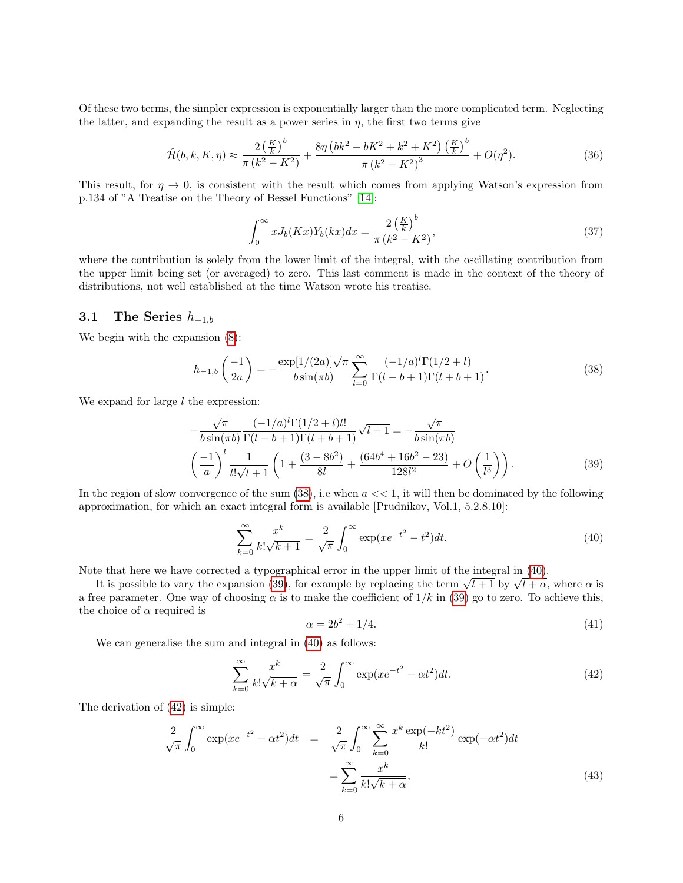Of these two terms, the simpler expression is exponentially larger than the more complicated term. Neglecting the latter, and expanding the result as a power series in  $\eta$ , the first two terms give

<span id="page-5-5"></span>
$$
\hat{\mathcal{H}}(b,k,K,\eta) \approx \frac{2\left(\frac{K}{k}\right)^b}{\pi\left(k^2 - K^2\right)} + \frac{8\eta\left(bk^2 - bK^2 + k^2 + K^2\right)\left(\frac{K}{k}\right)^b}{\pi\left(k^2 - K^2\right)^3} + O(\eta^2). \tag{36}
$$

This result, for  $\eta \to 0$ , is consistent with the result which comes from applying Watson's expression from p.134 of "A Treatise on the Theory of Bessel Functions" [\[14\]](#page-17-8):

$$
\int_0^\infty x J_b(Kx) Y_b(kx) dx = \frac{2\left(\frac{K}{k}\right)^b}{\pi \left(k^2 - K^2\right)},\tag{37}
$$

where the contribution is solely from the lower limit of the integral, with the oscillating contribution from the upper limit being set (or averaged) to zero. This last comment is made in the context of the theory of distributions, not well established at the time Watson wrote his treatise.

#### 3.1 The Series  $h_{-1,b}$

We begin with the expansion [\(8\)](#page-1-3):

<span id="page-5-0"></span>
$$
h_{-1,b}\left(\frac{-1}{2a}\right) = -\frac{\exp[1/(2a)]\sqrt{\pi}}{b\sin(\pi b)} \sum_{l=0}^{\infty} \frac{(-1/a)^l \Gamma(1/2 + l)}{\Gamma(l - b + 1)\Gamma(l + b + 1)}.
$$
\n(38)

We expand for large  $l$  the expression:

<span id="page-5-2"></span>
$$
-\frac{\sqrt{\pi}}{b\sin(\pi b)} \frac{(-1/a)^{l}\Gamma(1/2+l)l!}{\Gamma(l-b+1)\Gamma(l+b+1)} \sqrt{l+1} = -\frac{\sqrt{\pi}}{b\sin(\pi b)}
$$

$$
\left(\frac{-1}{a}\right)^{l} \frac{1}{l!\sqrt{l+1}} \left(1 + \frac{(3-8b^{2})}{8l} + \frac{(64b^{4}+16b^{2}-23)}{128l^{2}} + O\left(\frac{1}{l^{3}}\right)\right).
$$
(39)

In the region of slow convergence of the sum  $(38)$ , i.e when  $a \ll 1$ , it will then be dominated by the following approximation, for which an exact integral form is available [Prudnikov, Vol.1, 5.2.8.10]:

<span id="page-5-1"></span>
$$
\sum_{k=0}^{\infty} \frac{x^k}{k! \sqrt{k+1}} = \frac{2}{\sqrt{\pi}} \int_0^{\infty} \exp(x e^{-t^2} - t^2) dt.
$$
 (40)

Note that here we have corrected a typographical error in the upper limit of the integral in [\(40\)](#page-5-1).

Le that here we have corrected a typographical error in the upper limit of the integral in (40).<br>It is possible to vary the expansion [\(39\)](#page-5-2), for example by replacing the term  $\sqrt{l+1}$  by  $\sqrt{l+\alpha}$ , where  $\alpha$  is a free parameter. One way of choosing  $\alpha$  is to make the coefficient of  $1/k$  in [\(39\)](#page-5-2) go to zero. To achieve this, the choice of  $\alpha$  required is

$$
\alpha = 2b^2 + 1/4.\tag{41}
$$

We can generalise the sum and integral in [\(40\)](#page-5-1) as follows:

<span id="page-5-3"></span>
$$
\sum_{k=0}^{\infty} \frac{x^k}{k! \sqrt{k+\alpha}} = \frac{2}{\sqrt{\pi}} \int_0^{\infty} \exp(x e^{-t^2} - \alpha t^2) dt.
$$
 (42)

The derivation of [\(42\)](#page-5-3) is simple:

<span id="page-5-4"></span>
$$
\frac{2}{\sqrt{\pi}} \int_0^\infty \exp(x e^{-t^2} - \alpha t^2) dt = \frac{2}{\sqrt{\pi}} \int_0^\infty \sum_{k=0}^\infty \frac{x^k \exp(-kt^2)}{k!} \exp(-\alpha t^2) dt
$$

$$
= \sum_{k=0}^\infty \frac{x^k}{k! \sqrt{k+\alpha}},
$$
(43)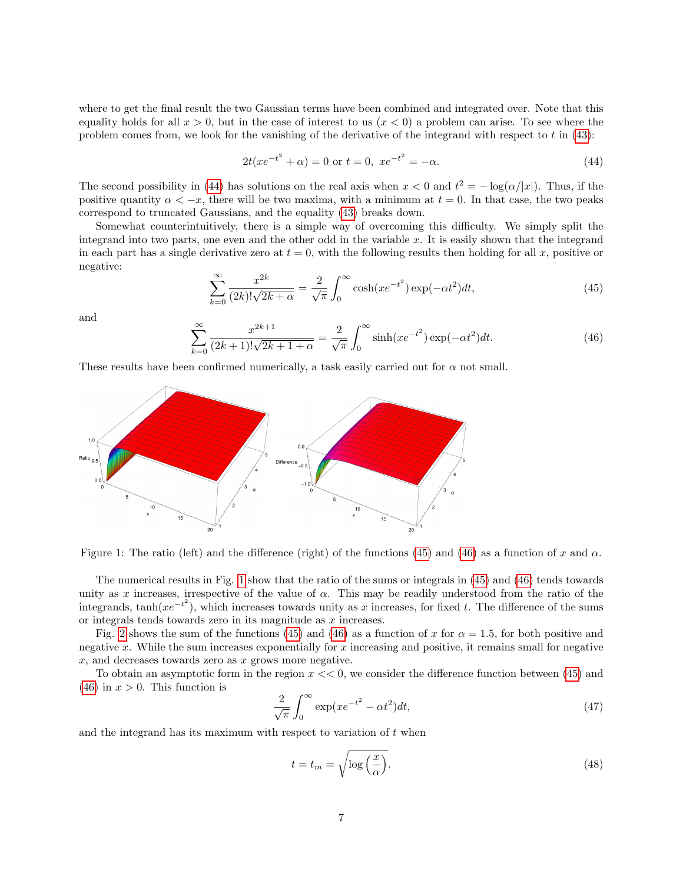where to get the final result the two Gaussian terms have been combined and integrated over. Note that this equality holds for all  $x > 0$ , but in the case of interest to us  $(x < 0)$  a problem can arise. To see where the problem comes from, we look for the vanishing of the derivative of the integrand with respect to  $t$  in  $(43)$ :

<span id="page-6-0"></span>
$$
2t(xe^{-t^2} + \alpha) = 0 \text{ or } t = 0, \ xe^{-t^2} = -\alpha.
$$
 (44)

The second possibility in [\(44\)](#page-6-0) has solutions on the real axis when  $x < 0$  and  $t^2 = -\log(\alpha/|x|)$ . Thus, if the positive quantity  $\alpha < -x$ , there will be two maxima, with a minimum at  $t = 0$ . In that case, the two peaks correspond to truncated Gaussians, and the equality [\(43\)](#page-5-4) breaks down.

Somewhat counterintuitively, there is a simple way of overcoming this difficulty. We simply split the integrand into two parts, one even and the other odd in the variable x. It is easily shown that the integrand in each part has a single derivative zero at  $t = 0$ , with the following results then holding for all x, positive or negative:

<span id="page-6-1"></span>
$$
\sum_{k=0}^{\infty} \frac{x^{2k}}{(2k)! \sqrt{2k+\alpha}} = \frac{2}{\sqrt{\pi}} \int_0^{\infty} \cosh(x e^{-t^2}) \exp(-\alpha t^2) dt,
$$
\n(45)

and

<span id="page-6-2"></span>
$$
\sum_{k=0}^{\infty} \frac{x^{2k+1}}{(2k+1)!\sqrt{2k+1+\alpha}} = \frac{2}{\sqrt{\pi}} \int_0^{\infty} \sinh(x e^{-t^2}) \exp(-\alpha t^2) dt.
$$
 (46)

These results have been confirmed numerically, a task easily carried out for  $\alpha$  not small.



<span id="page-6-3"></span>Figure 1: The ratio (left) and the difference (right) of the functions [\(45\)](#page-6-1) and [\(46\)](#page-6-2) as a function of x and  $\alpha$ .

The numerical results in Fig. [1](#page-6-3) show that the ratio of the sums or integrals in [\(45\)](#page-6-1) and [\(46\)](#page-6-2) tends towards unity as x increases, irrespective of the value of  $\alpha$ . This may be readily understood from the ratio of the integrands, tanh( $xe^{-t^2}$ ), which increases towards unity as x increases, for fixed t. The difference of the sums or integrals tends towards zero in its magnitude as  $x$  increases.

Fig. [2](#page-7-0) shows the sum of the functions [\(45\)](#page-6-1) and [\(46\)](#page-6-2) as a function of x for  $\alpha = 1.5$ , for both positive and negative x. While the sum increases exponentially for x increasing and positive, it remains small for negative  $x$ , and decreases towards zero as  $x$  grows more negative.

To obtain an asymptotic form in the region  $x \ll 0$ , we consider the difference function between [\(45\)](#page-6-1) and [\(46\)](#page-6-2) in  $x > 0$ . This function is

$$
\frac{2}{\sqrt{\pi}} \int_0^\infty \exp(x e^{-t^2} - \alpha t^2) dt,\tag{47}
$$

and the integrand has its maximum with respect to variation of  $t$  when

$$
t = t_m = \sqrt{\log\left(\frac{x}{\alpha}\right)}.\tag{48}
$$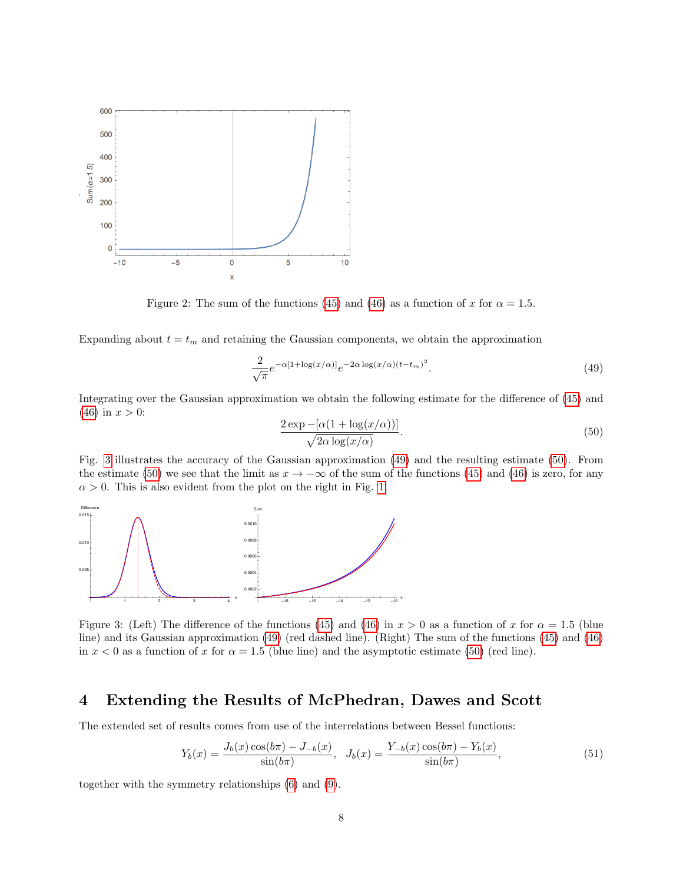

<span id="page-7-0"></span>Figure 2: The sum of the functions [\(45\)](#page-6-1) and [\(46\)](#page-6-2) as a function of x for  $\alpha = 1.5$ .

Expanding about  $t = t_m$  and retaining the Gaussian components, we obtain the approximation

<span id="page-7-2"></span>
$$
\frac{2}{\sqrt{\pi}}e^{-\alpha[1+\log(x/\alpha)]}e^{-2\alpha\log(x/\alpha)(t-t_m)^2}.
$$
\n(49)

Integrating over the Gaussian approximation we obtain the following estimate for the difference of [\(45\)](#page-6-1) and  $(46)$  in  $x > 0$ :

<span id="page-7-3"></span>
$$
\frac{2\exp -[\alpha(1+\log(x/\alpha))]}{\sqrt{2\alpha\log(x/\alpha)}}.
$$
\n(50)

Fig. [3](#page-7-1) illustrates the accuracy of the Gaussian approximation [\(49\)](#page-7-2) and the resulting estimate [\(50\)](#page-7-3). From the estimate [\(50\)](#page-7-3) we see that the limit as  $x \to -\infty$  of the sum of the functions [\(45\)](#page-6-1) and [\(46\)](#page-6-2) is zero, for any  $\alpha > 0$ . This is also evident from the plot on the right in Fig. [1.](#page-6-3)



<span id="page-7-1"></span>Figure 3: (Left) The difference of the functions [\(45\)](#page-6-1) and [\(46\)](#page-6-2) in  $x > 0$  as a function of x for  $\alpha = 1.5$  (blue line) and its Gaussian approximation [\(49\)](#page-7-2) (red dashed line). (Right) The sum of the functions [\(45\)](#page-6-1) and [\(46\)](#page-6-2) in  $x < 0$  as a function of x for  $\alpha = 1.5$  (blue line) and the asymptotic estimate [\(50\)](#page-7-3) (red line).

# 4 Extending the Results of McPhedran, Dawes and Scott

The extended set of results comes from use of the interrelations between Bessel functions:

<span id="page-7-4"></span>
$$
Y_b(x) = \frac{J_b(x)\cos(b\pi) - J_{-b}(x)}{\sin(b\pi)}, \quad J_b(x) = \frac{Y_{-b}(x)\cos(b\pi) - Y_b(x)}{\sin(b\pi)},\tag{51}
$$

together with the symmetry relationships [\(6\)](#page-1-4) and [\(9\)](#page-2-5).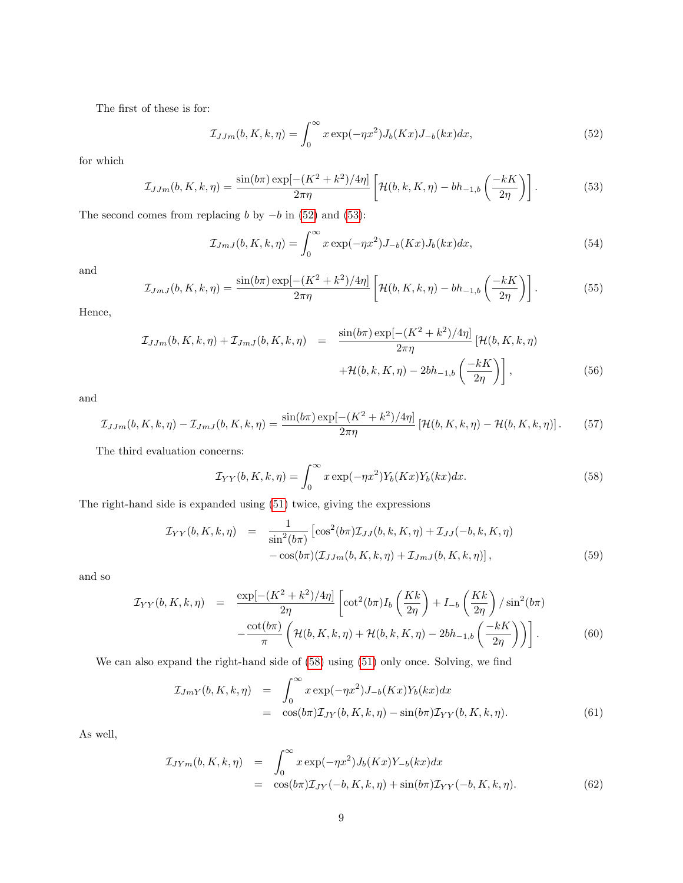The first of these is for:

<span id="page-8-0"></span>
$$
\mathcal{I}_{JJm}(b,K,k,\eta) = \int_0^\infty x \exp(-\eta x^2) J_b(Kx) J_{-b}(kx) dx,\tag{52}
$$

for which

<span id="page-8-1"></span>
$$
\mathcal{I}_{JJm}(b,K,k,\eta) = \frac{\sin(b\pi)\exp[-(K^2 + k^2)/4\eta]}{2\pi\eta} \left[ \mathcal{H}(b,k,K,\eta) - bh_{-1,b}\left(\frac{-kK}{2\eta}\right) \right].
$$
 (53)

The second comes from replacing b by  $-b$  in [\(52\)](#page-8-0) and [\(53\)](#page-8-1):

$$
\mathcal{I}_{JmJ}(b,K,k,\eta) = \int_0^\infty x \exp(-\eta x^2) J_{-b}(Kx) J_b(kx) dx,\tag{54}
$$

and

$$
\mathcal{I}_{JmJ}(b,K,k,\eta) = \frac{\sin(b\pi)\exp[-(K^2 + k^2)/4\eta]}{2\pi\eta} \left[ \mathcal{H}(b,K,k,\eta) - bh_{-1,b}\left(\frac{-kK}{2\eta}\right) \right].
$$
 (55)

Hence,

$$
\mathcal{I}_{JJm}(b,K,k,\eta) + \mathcal{I}_{JmJ}(b,K,k,\eta) = \frac{\sin(b\pi)\exp[-(K^2 + k^2)/4\eta]}{2\pi\eta} \left[ \mathcal{H}(b,K,k,\eta) + \mathcal{H}(b,k,K,\eta) - 2bh_{-1,b}\left(\frac{-kK}{2\eta}\right) \right],
$$
\n(56)

and

$$
\mathcal{I}_{JJm}(b,K,k,\eta) - \mathcal{I}_{JmJ}(b,K,k,\eta) = \frac{\sin(b\pi)\exp[-(K^2 + k^2)/4\eta]}{2\pi\eta} \left[ \mathcal{H}(b,K,k,\eta) - \mathcal{H}(b,K,k,\eta) \right].
$$
 (57)

The third evaluation concerns:

<span id="page-8-2"></span>
$$
\mathcal{I}_{YY}(b,K,k,\eta) = \int_0^\infty x \exp(-\eta x^2) Y_b(Kx) Y_b(kx) dx.
$$
\n(58)

The right-hand side is expanded using [\(51\)](#page-7-4) twice, giving the expressions

$$
\mathcal{I}_{YY}(b, K, k, \eta) = \frac{1}{\sin^2(b\pi)} \left[ \cos^2(b\pi) \mathcal{I}_{JJ}(b, k, K, \eta) + \mathcal{I}_{JJ}(-b, k, K, \eta) - \cos(b\pi) (\mathcal{I}_{JJm}(b, K, k, \eta) + \mathcal{I}_{JmJ}(b, K, k, \eta)) \right],
$$
\n(59)

and so

$$
\mathcal{I}_{YY}(b,K,k,\eta) = \frac{\exp[-(K^2 + k^2)/4\eta]}{2\eta} \left[ \cot^2(b\pi) I_b \left( \frac{Kk}{2\eta} \right) + I_{-b} \left( \frac{Kk}{2\eta} \right) / \sin^2(b\pi) - \frac{\cot(b\pi)}{\pi} \left( \mathcal{H}(b,K,k,\eta) + \mathcal{H}(b,k,K,\eta) - 2bh_{-1,b} \left( \frac{-kK}{2\eta} \right) \right) \right].
$$
\n(60)

We can also expand the right-hand side of [\(58\)](#page-8-2) using [\(51\)](#page-7-4) only once. Solving, we find

$$
\mathcal{I}_{JmY}(b,K,k,\eta) = \int_0^\infty x \exp(-\eta x^2) J_{-b}(Kx) Y_b(kx) dx
$$
  
=  $\cos(b\pi) \mathcal{I}_{JY}(b,K,k,\eta) - \sin(b\pi) \mathcal{I}_{YY}(b,K,k,\eta).$  (61)

As well,

$$
\mathcal{I}_{JYm}(b,K,k,\eta) = \int_0^\infty x \exp(-\eta x^2) J_b(Kx) Y_{-b}(kx) dx
$$
  
=  $\cos(b\pi) \mathcal{I}_{JY}(-b,K,k,\eta) + \sin(b\pi) \mathcal{I}_{YY}(-b,K,k,\eta).$  (62)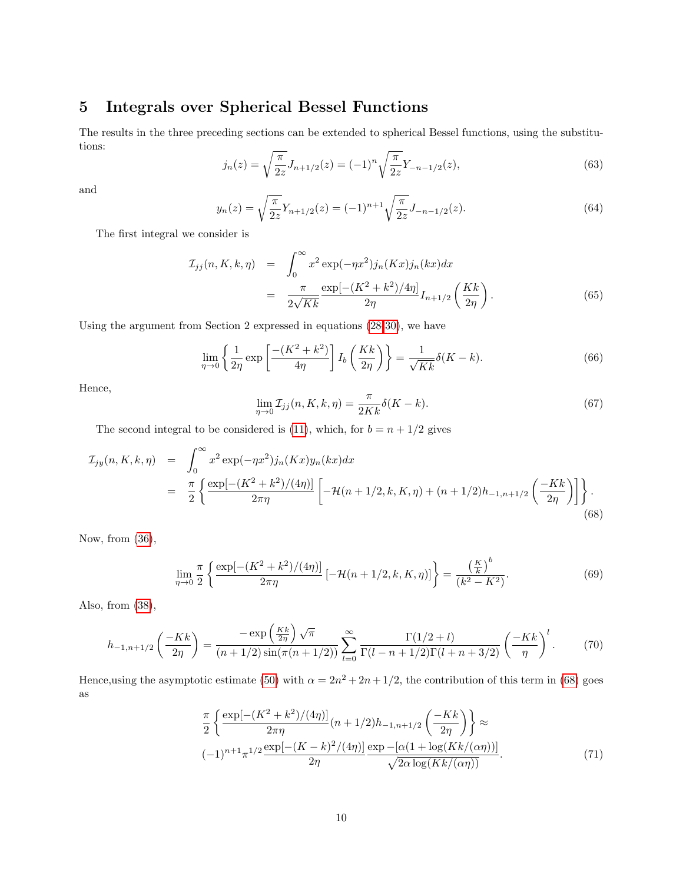# 5 Integrals over Spherical Bessel Functions

The results in the three preceding sections can be extended to spherical Bessel functions, using the substitutions:

<span id="page-9-3"></span>
$$
j_n(z) = \sqrt{\frac{\pi}{2z}} J_{n+1/2}(z) = (-1)^n \sqrt{\frac{\pi}{2z}} Y_{-n-1/2}(z),\tag{63}
$$

and

<span id="page-9-1"></span>
$$
y_n(z) = \sqrt{\frac{\pi}{2z}} Y_{n+1/2}(z) = (-1)^{n+1} \sqrt{\frac{\pi}{2z}} J_{-n-1/2}(z).
$$
 (64)

The first integral we consider is

$$
\mathcal{I}_{jj}(n, K, k, \eta) = \int_0^\infty x^2 \exp(-\eta x^2) j_n(Kx) j_n(kx) dx
$$
  
= 
$$
\frac{\pi}{2\sqrt{Kk}} \frac{\exp[-(K^2 + k^2)/4\eta]}{2\eta} I_{n+1/2} \left(\frac{Kk}{2\eta}\right).
$$
 (65)

Using the argument from Section 2 expressed in equations [\(28](#page-3-0)[-30\)](#page-4-4), we have

<span id="page-9-2"></span>
$$
\lim_{\eta \to 0} \left\{ \frac{1}{2\eta} \exp\left[\frac{-(K^2 + k^2)}{4\eta}\right] I_b\left(\frac{Kk}{2\eta}\right) \right\} = \frac{1}{\sqrt{Kk}} \delta(K - k). \tag{66}
$$

Hence,

$$
\lim_{\eta \to 0} \mathcal{I}_{jj}(n, K, k, \eta) = \frac{\pi}{2Kk} \delta(K - k).
$$
\n(67)

The second integral to be considered is [\(11\)](#page-2-0), which, for  $b = n + 1/2$  gives

<span id="page-9-0"></span>
$$
\mathcal{I}_{jy}(n, K, k, \eta) = \int_0^\infty x^2 \exp(-\eta x^2) j_n(Kx) y_n(kx) dx
$$
  
= 
$$
\frac{\pi}{2} \left\{ \frac{\exp[-(K^2 + k^2)/(4\eta)]}{2\pi \eta} \left[ -\mathcal{H}(n + 1/2, k, K, \eta) + (n + 1/2)h_{-1, n + 1/2} \left( \frac{-Kk}{2\eta} \right) \right] \right\}.
$$
 (68)

Now, from [\(36\)](#page-5-5),

$$
\lim_{\eta \to 0} \frac{\pi}{2} \left\{ \frac{\exp[-(K^2 + k^2)/(4\eta)]}{2\pi \eta} \left[ -\mathcal{H}(n+1/2, k, K, \eta) \right] \right\} = \frac{\left(\frac{K}{k}\right)^b}{(k^2 - K^2)}.
$$
\n(69)

Also, from [\(38\)](#page-5-0),

$$
h_{-1,n+1/2}\left(\frac{-Kk}{2\eta}\right) = \frac{-\exp\left(\frac{Kk}{2\eta}\right)\sqrt{\pi}}{(n+1/2)\sin(\pi(n+1/2))}\sum_{l=0}^{\infty}\frac{\Gamma(1/2+l)}{\Gamma(l-n+1/2)\Gamma(l+n+3/2)}\left(\frac{-Kk}{\eta}\right)^{l}.\tag{70}
$$

Hence, using the asymptotic estimate [\(50\)](#page-7-3) with  $\alpha = 2n^2 + 2n + 1/2$ , the contribution of this term in [\(68\)](#page-9-0) goes as

$$
\frac{\pi}{2} \left\{ \frac{\exp[-(K^2 + k^2)/(4\eta)]}{2\pi\eta} (n + 1/2) h_{-1,n+1/2} \left(\frac{-Kk}{2\eta}\right) \right\} \approx
$$
\n
$$
(-1)^{n+1} \pi^{1/2} \frac{\exp[-(K - k)^2/(4\eta)]}{2\eta} \frac{\exp[-(\alpha(1 + \log(Kk/(\alpha \eta)))]}{\sqrt{2\alpha \log(Kk/(\alpha \eta))}}.
$$
\n(71)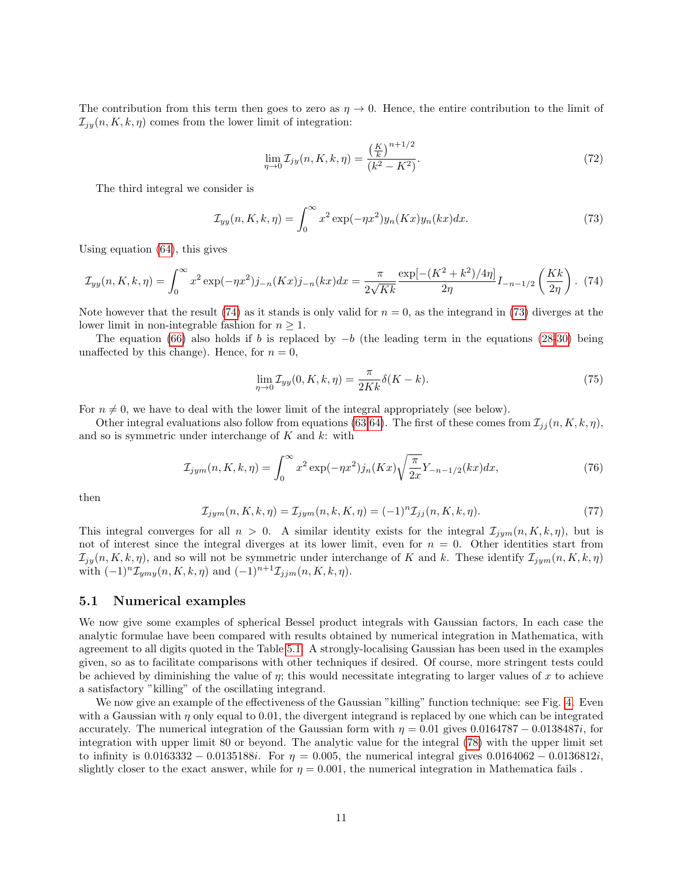The contribution from this term then goes to zero as  $\eta \to 0$ . Hence, the entire contribution to the limit of  $\mathcal{I}_{jy}(n, K, k, \eta)$  comes from the lower limit of integration:

$$
\lim_{\eta \to 0} \mathcal{I}_{jy}(n, K, k, \eta) = \frac{\left(\frac{K}{k}\right)^{n+1/2}}{(k^2 - K^2)}.
$$
\n(72)

The third integral we consider is

<span id="page-10-1"></span>
$$
\mathcal{I}_{yy}(n,K,k,\eta) = \int_0^\infty x^2 \exp(-\eta x^2) y_n(Kx) y_n(kx) dx.
$$
\n(73)

Using equation [\(64\)](#page-9-1), this gives

<span id="page-10-0"></span>
$$
\mathcal{I}_{yy}(n,K,k,\eta) = \int_0^\infty x^2 \exp(-\eta x^2) j_{-n}(Kx) j_{-n}(kx) dx = \frac{\pi}{2\sqrt{Kk}} \frac{\exp[-(K^2 + k^2)/4\eta]}{2\eta} I_{-n-1/2} \left(\frac{Kk}{2\eta}\right). (74)
$$

Note however that the result [\(74\)](#page-10-0) as it stands is only valid for  $n = 0$ , as the integrand in [\(73\)](#page-10-1) diverges at the lower limit in non-integrable fashion for  $n \geq 1$ .

The equation [\(66\)](#page-9-2) also holds if b is replaced by  $-b$  (the leading term in the equations [\(28-](#page-3-0)[30\)](#page-4-4) being unaffected by this change). Hence, for  $n = 0$ ,

$$
\lim_{\eta \to 0} \mathcal{I}_{yy}(0, K, k, \eta) = \frac{\pi}{2Kk} \delta(K - k).
$$
\n(75)

For  $n \neq 0$ , we have to deal with the lower limit of the integral appropriately (see below).

Other integral evaluations also follow from equations [\(63](#page-9-3)[,64\)](#page-9-1). The first of these comes from  $\mathcal{I}_{ij}(n, K, k, \eta)$ , and so is symmetric under interchange of  $K$  and  $k$ : with

$$
\mathcal{I}_{jym}(n, K, k, \eta) = \int_0^\infty x^2 \exp(-\eta x^2) j_n(Kx) \sqrt{\frac{\pi}{2x}} Y_{-n-1/2}(kx) dx,\tag{76}
$$

then

$$
\mathcal{I}_{jym}(n, K, k, \eta) = \mathcal{I}_{jym}(n, k, K, \eta) = (-1)^n \mathcal{I}_{j}(n, K, k, \eta). \tag{77}
$$

This integral converges for all  $n > 0$ . A similar identity exists for the integral  $\mathcal{I}_{jym}(n, K, k, \eta)$ , but is not of interest since the integral diverges at its lower limit, even for  $n = 0$ . Other identities start from  $\mathcal{I}_{jy}(n, K, k, \eta)$ , and so will not be symmetric under interchange of K and k. These identify  $\mathcal{I}_{jym}(n, K, k, \eta)$ with  $(-1)^n \mathcal{I}_{ymy}(n, K, k, \eta)$  and  $(-1)^{n+1} \mathcal{I}_{j,m}(n, K, k, \eta)$ .

#### <span id="page-10-2"></span>5.1 Numerical examples

We now give some examples of spherical Bessel product integrals with Gaussian factors, In each case the analytic formulae have been compared with results obtained by numerical integration in Mathematica, with agreement to all digits quoted in the Table [5.1.](#page-10-2) A strongly-localising Gaussian has been used in the examples given, so as to facilitate comparisons with other techniques if desired. Of course, more stringent tests could be achieved by diminishing the value of  $\eta$ ; this would necessitate integrating to larger values of x to achieve a satisfactory "killing" of the oscillating integrand.

We now give an example of the effectiveness of the Gaussian "killing" function technique: see Fig. [4.](#page-11-0) Even with a Gaussian with  $\eta$  only equal to 0.01, the divergent integrand is replaced by one which can be integrated accurately. The numerical integration of the Gaussian form with  $\eta = 0.01$  gives  $0.0164787 - 0.0138487i$ , for integration with upper limit 80 or beyond. The analytic value for the integral [\(78\)](#page-11-1) with the upper limit set to infinity is  $0.0163332 - 0.0135188i$ . For  $\eta = 0.005$ , the numerical integral gives  $0.0164062 - 0.0136812i$ , slightly closer to the exact answer, while for  $\eta = 0.001$ , the numerical integration in Mathematica fails.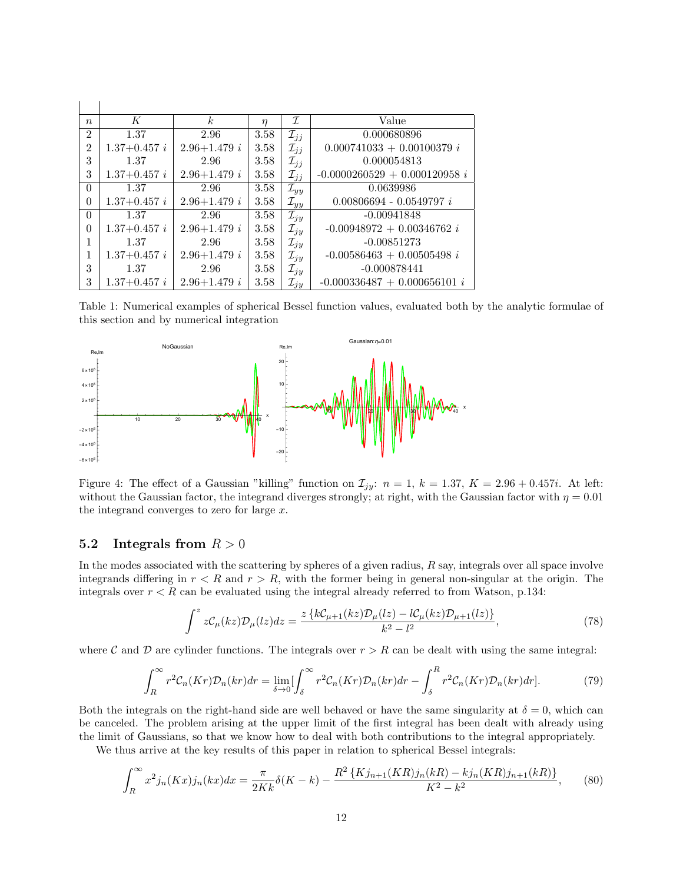| $\boldsymbol{n}$ | K              | k <sub>i</sub>   | $\eta$ | I                  | Value                           |
|------------------|----------------|------------------|--------|--------------------|---------------------------------|
| $\overline{2}$   | 1.37           | 2.96             | 3.58   | $\mathcal{I}_{jj}$ | 0.000680896                     |
| $\overline{2}$   | $1.37+0.457 i$ | $2.96 + 1.479 i$ | 3.58   | $\mathcal{I}_{ij}$ | $0.000741033 + 0.00100379 i$    |
| 3                | 1.37           | 2.96             | 3.58   | $\mathcal{I}_{jj}$ | 0.000054813                     |
| 3                | $1.37+0.457 i$ | $2.96 + 1.479 i$ | 3.58   | $\mathcal{I}_{jj}$ | $-0.0000260529 + 0.000120958 i$ |
| $\theta$         | 1.37           | 2.96             | 3.58   | $\mathcal{I}_{yy}$ | 0.0639986                       |
| $\theta$         | $1.37+0.457 i$ | $2.96 + 1.479 i$ | 3.58   | $\mathcal{I}_{yy}$ | $0.00806694 - 0.0549797 i$      |
| $\theta$         | 1.37           | 2.96             | 3.58   | $\mathcal{I}_{jy}$ | $-0.00941848$                   |
| $\theta$         | $1.37+0.457 i$ | $2.96 + 1.479 i$ | 3.58   | $\mathcal{I}_{jy}$ | $-0.00948972 + 0.00346762 i$    |
| 1                | 1.37           | 2.96             | 3.58   | $\mathcal{I}_{jy}$ | $-0.00851273$                   |
| 1                | $1.37+0.457 i$ | $2.96 + 1.479 i$ | 3.58   | $\mathcal{I}_{jy}$ | $-0.00586463 + 0.00505498 i$    |
| 3                | 1.37           | 2.96             | 3.58   | $\mathcal{I}_{jy}$ | $-0.000878441$                  |
| 3                | $1.37+0.457 i$ | $2.96 + 1.479 i$ | 3.58   | $\mathcal{I}_{jy}$ | $-0.000336487 + 0.000656101 i$  |

Table 1: Numerical examples of spherical Bessel function values, evaluated both by the analytic formulae of this section and by numerical integration



<span id="page-11-0"></span>Figure 4: The effect of a Gaussian "killing" function on  $\mathcal{I}_{jy}: n = 1, k = 1.37, K = 2.96 + 0.457i$ . At left: without the Gaussian factor, the integrand diverges strongly; at right, with the Gaussian factor with  $\eta = 0.01$ the integrand converges to zero for large  $x$ .

#### 5.2 Integrals from  $R > 0$

 $\mathbf{I}$ 

In the modes associated with the scattering by spheres of a given radius,  $R$  say, integrals over all space involve integrands differing in  $r < R$  and  $r > R$ , with the former being in general non-singular at the origin. The integrals over  $r < R$  can be evaluated using the integral already referred to from Watson, p.134:

<span id="page-11-1"></span>
$$
\int^{z} z \mathcal{C}_{\mu}(kz) \mathcal{D}_{\mu}(lz) dz = \frac{z \left\{ k \mathcal{C}_{\mu+1}(kz) \mathcal{D}_{\mu}(lz) - l \mathcal{C}_{\mu}(kz) \mathcal{D}_{\mu+1}(lz) \right\}}{k^{2} - l^{2}},
$$
\n(78)

where C and D are cylinder functions. The integrals over  $r > R$  can be dealt with using the same integral:

$$
\int_{R}^{\infty} r^{2} \mathcal{C}_{n}(Kr) \mathcal{D}_{n}(kr) dr = \lim_{\delta \to 0} \left[ \int_{\delta}^{\infty} r^{2} \mathcal{C}_{n}(Kr) \mathcal{D}_{n}(kr) dr - \int_{\delta}^{R} r^{2} \mathcal{C}_{n}(Kr) \mathcal{D}_{n}(kr) dr \right].
$$
 (79)

Both the integrals on the right-hand side are well behaved or have the same singularity at  $\delta = 0$ , which can be canceled. The problem arising at the upper limit of the first integral has been dealt with already using the limit of Gaussians, so that we know how to deal with both contributions to the integral appropriately.

We thus arrive at the key results of this paper in relation to spherical Bessel integrals:

$$
\int_{R}^{\infty} x^{2} j_{n}(Kx) j_{n}(kx) dx = \frac{\pi}{2Kk} \delta(K-k) - \frac{R^{2} \{ K j_{n+1}(KR) j_{n}(kR) - k j_{n}(KR) j_{n+1}(kR) \}}{K^{2} - k^{2}},
$$
(80)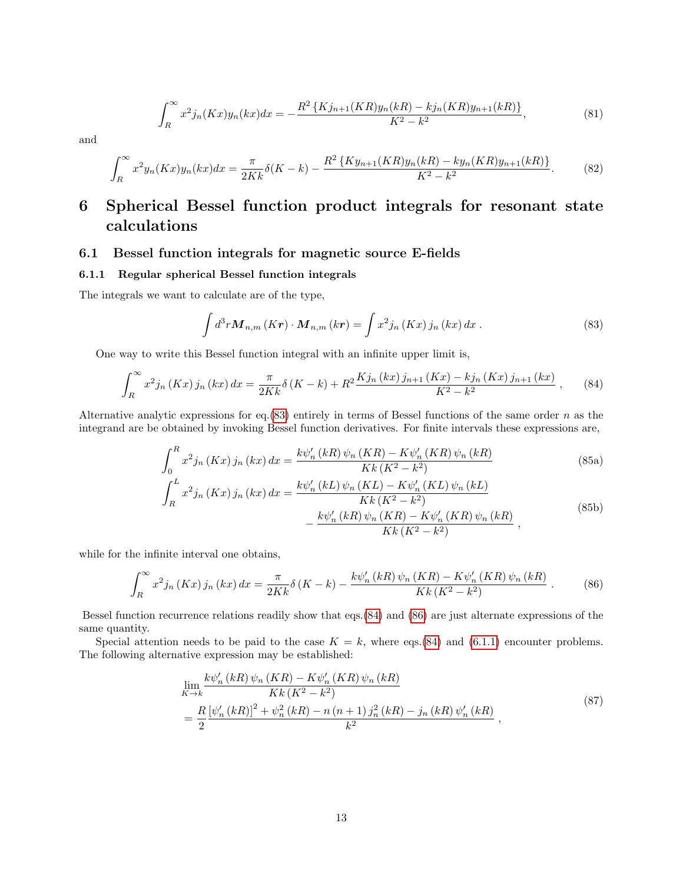$$
\int_{R}^{\infty} x^{2} j_{n}(Kx) y_{n}(kx) dx = -\frac{R^{2} \{ K j_{n+1}(KR) y_{n}(kR) - k j_{n}(KR) y_{n+1}(kR) \}}{K^{2} - k^{2}},
$$
\n(81)

and

$$
\int_{R}^{\infty} x^{2} y_{n}(Kx) y_{n}(kx) dx = \frac{\pi}{2Kk} \delta(K-k) - \frac{R^{2} \{ K y_{n+1}(KR) y_{n}(kR) - k y_{n}(KR) y_{n+1}(kR) \}}{K^{2} - k^{2}}.
$$
 (82)

# 6 Spherical Bessel function product integrals for resonant state calculations

### 6.1 Bessel function integrals for magnetic source E-fields

### 6.1.1 Regular spherical Bessel function integrals

The integrals we want to calculate are of the type,

<span id="page-12-0"></span>
$$
\int d^3r \mathbf{M}_{n,m}(K\mathbf{r}) \cdot \mathbf{M}_{n,m}(k\mathbf{r}) = \int x^2 j_n(Kx) j_n(kx) dx.
$$
 (83)

One way to write this Bessel function integral with an infinite upper limit is,

<span id="page-12-1"></span>
$$
\int_{R}^{\infty} x^{2} j_{n} \left(Kx\right) j_{n} \left(kx\right) dx = \frac{\pi}{2Kk} \delta\left(K-k\right) + R^{2} \frac{K j_{n} \left(kx\right) j_{n+1} \left(Kx\right) - k j_{n} \left(Kx\right) j_{n+1} \left(kx\right)}{K^{2} - k^{2}} ,\tag{84}
$$

Alternative analytic expressions for eq.[\(83\)](#page-12-0) entirely in terms of Bessel functions of the same order n as the integrand are be obtained by invoking Bessel function derivatives. For finite intervals these expressions are,

$$
\int_{0}^{R} x^{2} j_{n} \left(Kx\right) j_{n} \left(kx\right) dx = \frac{k \psi_{n}' \left(kR\right) \psi_{n} \left(KR\right) - K \psi_{n}' \left(KR\right) \psi_{n} \left(kR\right)}{K k \left(K^{2} - k^{2}\right)}\tag{85a}
$$

$$
\int_{R}^{L} x^{2} j_{n} \left(Kx\right) j_{n} \left(kx\right) dx = \frac{k \psi_{n}' \left(kL\right) \psi_{n} \left(KL\right) - K \psi_{n}' \left(KL\right) \psi_{n} \left(kL\right)}{Kk \left(K^{2} - k^{2}\right)} - \frac{k \psi_{n}' \left(kR\right) \psi_{n} \left(KR\right) - K \psi_{n}' \left(KR\right) \psi_{n} \left(kR\right)}{Kk \left(K^{2} - k^{2}\right)} ,
$$
\n(85b)

while for the infinite interval one obtains,

<span id="page-12-2"></span>
$$
\int_{R}^{\infty} x^{2} j_{n} \left(Kx\right) j_{n} \left(kx\right) dx = \frac{\pi}{2Kk} \delta\left(K-k\right) - \frac{k \psi_{n}' \left(kR\right) \psi_{n} \left(KR\right) - K \psi_{n}' \left(KR\right) \psi_{n} \left(kR\right)}{Kk \left(K^{2}-k^{2}\right)} . \tag{86}
$$

Bessel function recurrence relations readily show that eqs.[\(84\)](#page-12-1) and [\(86\)](#page-12-2) are just alternate expressions of the same quantity.

Special attention needs to be paid to the case  $K = k$ , where eqs.[\(84\)](#page-12-1) and [\(6.1.1\)](#page-12-2) encounter problems. The following alternative expression may be established:

<span id="page-12-3"></span>
$$
\lim_{K \to k} \frac{k \psi_n'(kR) \psi_n(KR) - K \psi_n'(KR) \psi_n(kR)}{Kk (K^2 - k^2)} \n= \frac{R \left[ \psi_n'(kR) \right]^2 + \psi_n^2(kR) - n (n+1) j_n^2(kR) - j_n(kR) \psi_n'(kR)}{k^2},
$$
\n(87)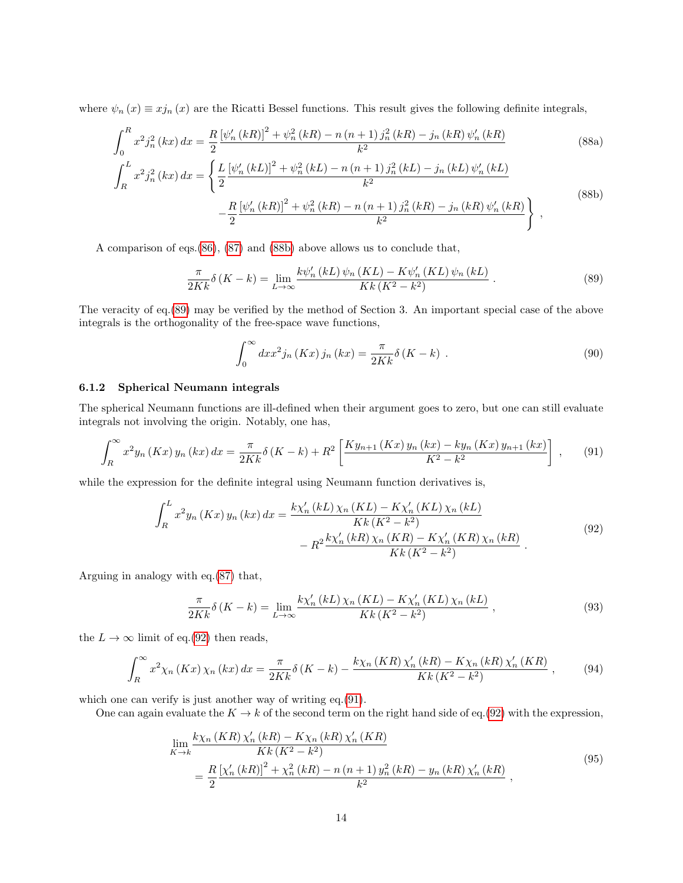where  $\psi_n(x) \equiv xj_n(x)$  are the Ricatti Bessel functions. This result gives the following definite integrals,

$$
\int_{0}^{R} x^{2} j_{n}^{2}(kx) dx = \frac{R}{2} \frac{\left[\psi_{n}'(kR)\right]^{2} + \psi_{n}^{2}(kR) - n\left(n+1\right) j_{n}^{2}(kR) - j_{n}(kR)\psi_{n}'(kR)}{k^{2}}
$$
\n
$$
\int_{R}^{L} x^{2} j_{n}^{2}(kx) dx = \left\{ \frac{L}{2} \frac{\left[\psi_{n}'(kL)\right]^{2} + \psi_{n}^{2}(kL) - n\left(n+1\right) j_{n}^{2}(kL) - j_{n}(kL)\psi_{n}'(kL)}{k^{2}} - \frac{R}{2} \frac{\left[\psi_{n}'(kR)\right]^{2} + \psi_{n}^{2}(kR) - n\left(n+1\right) j_{n}^{2}(kR) - j_{n}(kR)\psi_{n}'(kR)}{k^{2}} \right\} ,
$$
\n(88b)

A comparison of eqs.[\(86\)](#page-12-2), [\(87\)](#page-12-3) and [\(88b\)](#page-13-0) above allows us to conclude that,

$$
\frac{\pi}{2Kk}\delta\left(K-k\right) = \lim_{L\to\infty} \frac{k\psi_n'(kL)\,\psi_n\left(KL\right) - K\psi_n'(KL)\,\psi_n\left(kL\right)}{Kk\left(K^2 - k^2\right)}\,. \tag{89}
$$

The veracity of eq.[\(89\)](#page-13-1) may be verified by the method of Section 3. An important special case of the above integrals is the orthogonality of the free-space wave functions,

<span id="page-13-3"></span><span id="page-13-2"></span><span id="page-13-1"></span><span id="page-13-0"></span>
$$
\int_0^\infty dx x^2 j_n(Kx) j_n(kx) = \frac{\pi}{2Kk} \delta(K-k) . \tag{90}
$$

#### 6.1.2 Spherical Neumann integrals

The spherical Neumann functions are ill-defined when their argument goes to zero, but one can still evaluate integrals not involving the origin. Notably, one has,

$$
\int_{R}^{\infty} x^{2} y_{n}(Kx) y_{n}(kx) dx = \frac{\pi}{2Kk} \delta(K-k) + R^{2} \left[ \frac{K y_{n+1}(Kx) y_{n}(kx) - k y_{n}(Kx) y_{n+1}(kx)}{K^{2} - k^{2}} \right],
$$
 (91)

while the expression for the definite integral using Neumann function derivatives is,

$$
\int_{R}^{L} x^{2} y_{n} \left(Kx\right) y_{n} \left(kx\right) dx = \frac{k \chi_{n}' \left(kL\right) \chi_{n} \left(KL\right) - K \chi_{n}' \left(KL\right) \chi_{n} \left(kL\right)}{Kk \left(K^{2} - k^{2}\right)} - R^{2} \frac{k \chi_{n}' \left(kR\right) \chi_{n} \left(KR\right) - K \chi_{n}' \left(KR\right) \chi_{n} \left(kR\right)}{Kk \left(K^{2} - k^{2}\right)} .
$$
\n(92)

Arguing in analogy with eq.[\(87\)](#page-12-3) that,

$$
\frac{\pi}{2Kk}\delta\left(K-k\right) = \lim_{L\to\infty} \frac{k\chi_n'(kL)\,\chi_n\left(KL\right) - K\chi_n'(KL)\,\chi_n\left(kL\right)}{Kk\left(K^2 - k^2\right)}\,,\tag{93}
$$

the  $L \to \infty$  limit of eq.[\(92\)](#page-13-2) then reads,

$$
\int_{R}^{\infty} x^{2} \chi_{n}(Kx) \chi_{n}(kx) dx = \frac{\pi}{2Kk} \delta(K-k) - \frac{k \chi_{n}(KR) \chi_{n}'(kR) - K \chi_{n}(kR) \chi_{n}'(KR)}{Kk (K^{2} - k^{2})}, \qquad (94)
$$

which one can verify is just another way of writing eq.[\(91\)](#page-13-3).

One can again evaluate the  $K \to k$  of the second term on the right hand side of eq.[\(92\)](#page-13-2) with the expression,

$$
\lim_{K \to k} \frac{k \chi_n (KR) \chi_n'(kR) - K \chi_n(kR) \chi_n'(KR)}{Kk (K^2 - k^2)} = \frac{R \left[ \chi_n'(kR) \right]^2 + \chi_n^2(kR) - n \left( n + 1 \right) y_n^2(kR) - y_n(kR) \chi_n'(kR)}{k^2},
$$
\n(95)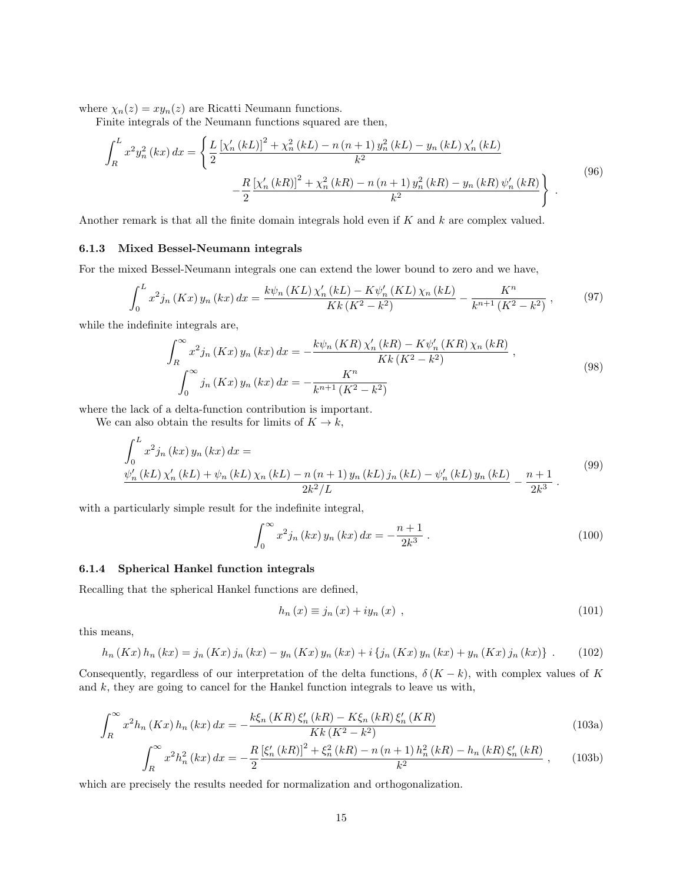where  $\chi_n(z) = xy_n(z)$  are Ricatti Neumann functions.

Finite integrals of the Neumann functions squared are then,

$$
\int_{R}^{L} x^{2} y_{n}^{2} (kx) dx = \left\{ \frac{L}{2} \frac{\left[\chi_{n}' (kL)\right]^{2} + \chi_{n}^{2} (kL) - n (n+1) y_{n}^{2} (kL) - y_{n} (kL) \chi_{n}' (kL)}{k^{2}} - \frac{R}{2} \frac{\left[\chi_{n}' (kR)\right]^{2} + \chi_{n}^{2} (kR) - n (n+1) y_{n}^{2} (kR) - y_{n} (kR) \psi_{n}' (kR)}{k^{2}} \right\}.
$$
\n(96)

Another remark is that all the finite domain integrals hold even if  $K$  and  $k$  are complex valued.

#### 6.1.3 Mixed Bessel-Neumann integrals

For the mixed Bessel-Neumann integrals one can extend the lower bound to zero and we have,

$$
\int_0^L x^2 j_n(Kx) y_n(kx) dx = \frac{k \psi_n(KL) \chi'_n(kL) - K \psi'_n(KL) \chi_n(kL)}{Kk(K^2 - k^2)} - \frac{K^n}{k^{n+1}(K^2 - k^2)},
$$
(97)

while the indefinite integrals are,

$$
\int_{R}^{\infty} x^{2} j_{n} (Kx) y_{n} (kx) dx = -\frac{k \psi_{n} (KR) \chi_{n}' (kR) - K \psi_{n}' (KR) \chi_{n} (kR)}{Kk (K^{2} - k^{2})},
$$
\n
$$
\int_{0}^{\infty} j_{n} (Kx) y_{n} (kx) dx = -\frac{K^{n}}{k^{n+1} (K^{2} - k^{2})}
$$
\n(98)

where the lack of a delta-function contribution is important.

We can also obtain the results for limits of  $K \to k$ ,

$$
\int_{0}^{L} x^{2} j_{n} (kx) y_{n} (kx) dx =
$$
\n
$$
\frac{\psi_{n}' (kL) \chi_{n}' (kL) + \psi_{n} (kL) \chi_{n} (kL) - n (n + 1) y_{n} (kL) j_{n} (kL) - \psi_{n}' (kL) y_{n} (kL)}{2k^{2}/L} - \frac{n+1}{2k^{3}}.
$$
\n(99)

with a particularly simple result for the indefinite integral,

$$
\int_0^\infty x^2 j_n(kx) y_n(kx) dx = -\frac{n+1}{2k^3} .
$$
\n(100)

### 6.1.4 Spherical Hankel function integrals

Recalling that the spherical Hankel functions are defined,

$$
h_n(x) \equiv j_n(x) + iy_n(x) , \qquad (101)
$$

this means,

$$
h_n (Kx) h_n (kx) = j_n (Kx) j_n (kx) - y_n (Kx) y_n (kx) + i \{ j_n (Kx) y_n (kx) + y_n (Kx) j_n (kx) \} .
$$
 (102)

Consequently, regardless of our interpretation of the delta functions,  $\delta (K - k)$ , with complex values of K and k, they are going to cancel for the Hankel function integrals to leave us with,

$$
\int_{R}^{\infty} x^{2} h_{n}(Kx) h_{n}(kx) dx = -\frac{k\xi_{n}(KR)\,\xi_{n}'(kR) - K\xi_{n}(kR)\,\xi_{n}'(KR)}{Kk\,(K^{2} - k^{2})}
$$
\n(103a)

$$
\int_{R}^{\infty} x^{2} h_{n}^{2}(kx) dx = -\frac{R}{2} \frac{\left[\xi_{n}'(kR)\right]^{2} + \xi_{n}^{2}(kR) - n\left(n+1\right) h_{n}^{2}(kR) - h_{n}(kR) \xi_{n}'(kR)}{k^{2}} , \qquad (103b)
$$

which are precisely the results needed for normalization and orthogonalization.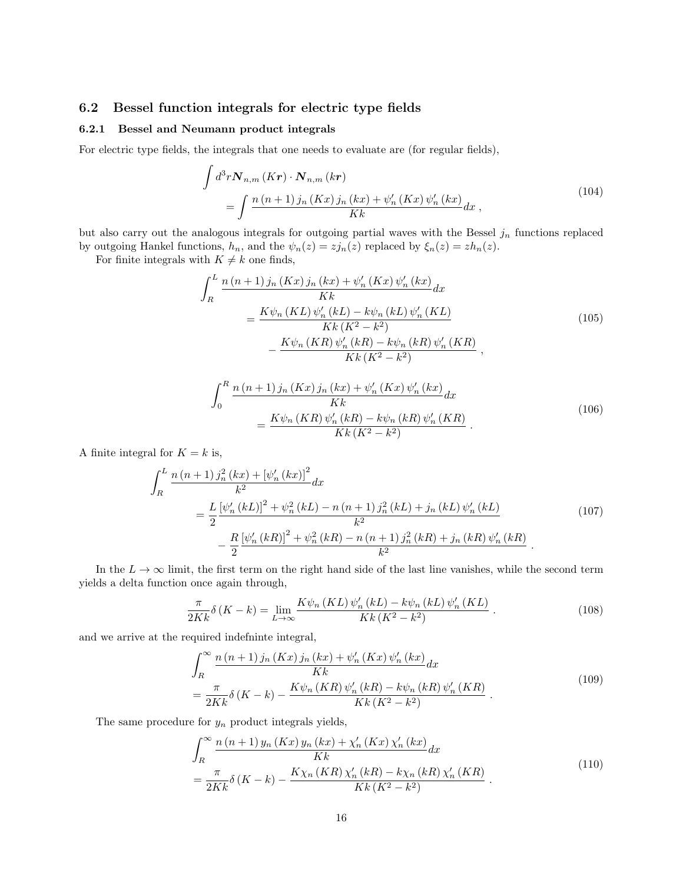### 6.2 Bessel function integrals for electric type fields

#### 6.2.1 Bessel and Neumann product integrals

For electric type fields, the integrals that one needs to evaluate are (for regular fields),

$$
\int d^3r \mathbf{N}_{n,m}(Kr) \cdot \mathbf{N}_{n,m}(kr)
$$
\n
$$
= \int \frac{n(n+1)j_n(Kx)j_n(kx) + \psi'_n(Kx)\psi'_n(kx)}{Kk} dx,
$$
\n(104)

but also carry out the analogous integrals for outgoing partial waves with the Bessel  $j_n$  functions replaced by outgoing Hankel functions,  $h_n$ , and the  $\psi_n(z) = zj_n(z)$  replaced by  $\xi_n(z) = zh_n(z)$ .

For finite integrals with  $K \neq k$  one finds,

$$
\int_{R}^{L} \frac{n (n + 1) j_{n} (Kx) j_{n} (kx) + \psi'_{n} (Kx) \psi'_{n} (kx)}{Kk} dx
$$
\n
$$
= \frac{K \psi_{n} (KL) \psi'_{n} (kL) - k \psi_{n} (kL) \psi'_{n} (KL)}{Kk (K^{2} - k^{2})}
$$
\n
$$
- \frac{K \psi_{n} (KR) \psi'_{n} (kR) - k \psi_{n} (kR) \psi'_{n} (KR)}{Kk (K^{2} - k^{2})},
$$
\n(105)

$$
\int_{0}^{R} \frac{n(n+1)j_{n}(Kx)j_{n}(kx) + \psi'_{n}(Kx)\psi'_{n}(kx)}{Kk} dx
$$
\n
$$
= \frac{K\psi_{n}(KR)\psi'_{n}(kR) - k\psi_{n}(kR)\psi'_{n}(KR)}{Kk(K^{2} - k^{2})}.
$$
\n(106)

A finite integral for  $K = k$  is,

$$
\int_{R}^{L} \frac{n (n+1) j_n^2 (kx) + [\psi_n' (kx)]^2}{k^2} dx
$$
\n
$$
= \frac{L}{2} \frac{[\psi_n' (kL)]^2 + \psi_n^2 (kL) - n (n+1) j_n^2 (kL) + j_n (kL) \psi_n' (kL)}{k^2}
$$
\n
$$
- \frac{R}{2} \frac{[\psi_n' (kR)]^2 + \psi_n^2 (kR) - n (n+1) j_n^2 (kR) + j_n (kR) \psi_n' (kR)}{k^2}.
$$
\n(107)

In the  $L \to \infty$  limit, the first term on the right hand side of the last line vanishes, while the second term yields a delta function once again through,

$$
\frac{\pi}{2Kk}\delta\left(K-k\right) = \lim_{L\to\infty} \frac{K\psi_n\left(KL\right)\psi_n'\left(kL\right) - k\psi_n\left(kL\right)\psi_n'\left(KL\right)}{Kk\left(K^2 - k^2\right)}\,. \tag{108}
$$

and we arrive at the required indefninte integral,

$$
\int_{R}^{\infty} \frac{n (n+1) j_n (Kx) j_n (kx) + \psi'_n (Kx) \psi'_n (kx)}{Kk} dx \n= \frac{\pi}{2Kk} \delta (K - k) - \frac{K \psi_n (KR) \psi'_n (kR) - k \psi_n (kR) \psi'_n (KR)}{Kk (K^2 - k^2)}.
$$
\n(109)

The same procedure for  $y_n$  product integrals yields,

$$
\int_{R}^{\infty} \frac{n(n+1) y_{n}(Kx) y_{n}(kx) + \chi'_{n}(Kx) \chi'_{n}(kx)}{Kk} dx \n= \frac{\pi}{2Kk} \delta(K-k) - \frac{K\chi_{n}(KR) \chi'_{n}(kR) - k\chi_{n}(kR) \chi'_{n}(KR)}{Kk(K^{2} - k^{2})}.
$$
\n(110)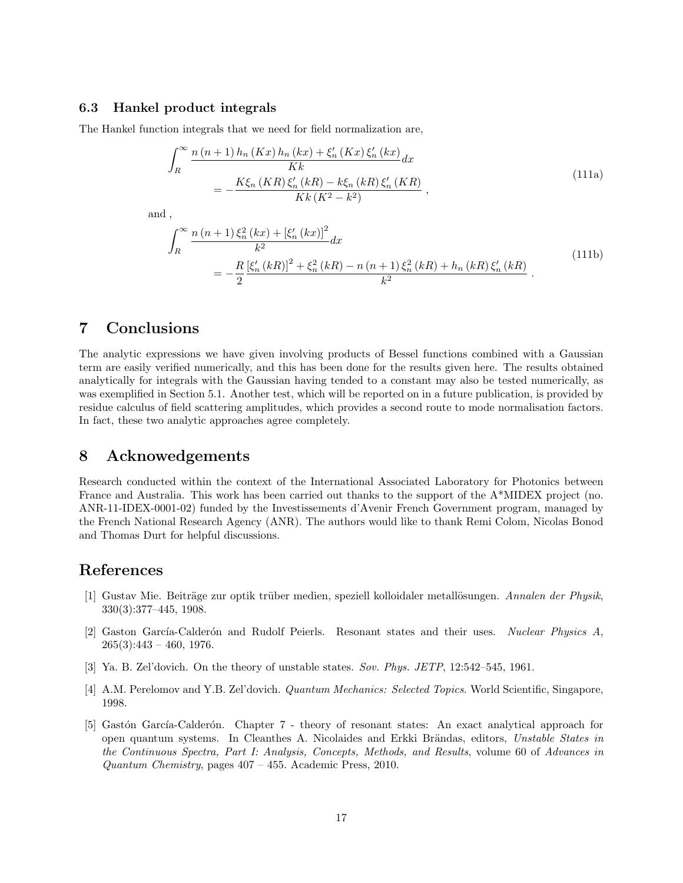### 6.3 Hankel product integrals

The Hankel function integrals that we need for field normalization are,

$$
\int_{R}^{\infty} \frac{n(n+1)h_{n}(Kx)h_{n}(kx) + \xi'_{n}(Kx)\xi'_{n}(kx)}{Kk}dx
$$
\n
$$
= -\frac{K\xi_{n}(KR)\xi'_{n}(kR) - k\xi_{n}(kR)\xi'_{n}(KR)}{Kk(K^{2} - k^{2})},
$$
\n(111a)

and ,

$$
\int_{R}^{\infty} \frac{n(n+1)\xi_{n}^{2}(kx) + \left[\xi_{n}'(kx)\right]^{2}}{k^{2}} dx
$$
\n
$$
= -\frac{R}{2} \frac{\left[\xi_{n}'(kR)\right]^{2} + \xi_{n}^{2}(kR) - n(n+1)\xi_{n}^{2}(kR) + h_{n}(kR)\xi_{n}'(kR)}{k^{2}}.
$$
\n(111b)

## 7 Conclusions

The analytic expressions we have given involving products of Bessel functions combined with a Gaussian term are easily verified numerically, and this has been done for the results given here. The results obtained analytically for integrals with the Gaussian having tended to a constant may also be tested numerically, as was exemplified in Section 5.1. Another test, which will be reported on in a future publication, is provided by residue calculus of field scattering amplitudes, which provides a second route to mode normalisation factors. In fact, these two analytic approaches agree completely.

## 8 Acknowedgements

Research conducted within the context of the International Associated Laboratory for Photonics between France and Australia. This work has been carried out thanks to the support of the A\*MIDEX project (no. ANR-11-IDEX-0001-02) funded by the Investissements d'Avenir French Government program, managed by the French National Research Agency (ANR). The authors would like to thank Remi Colom, Nicolas Bonod and Thomas Durt for helpful discussions.

# References

- <span id="page-16-0"></span>[1] Gustav Mie. Beiträge zur optik trüber medien, speziell kolloidaler metallösungen. Annalen der Physik, 330(3):377–445, 1908.
- <span id="page-16-1"></span>[2] Gaston García-Calderón and Rudolf Peierls. Resonant states and their uses. Nuclear Physics A,  $265(3):443 - 460, 1976.$
- <span id="page-16-2"></span>[3] Ya. B. Zel'dovich. On the theory of unstable states. Sov. Phys. JETP, 12:542–545, 1961.
- <span id="page-16-3"></span>[4] A.M. Perelomov and Y.B. Zel'dovich. Quantum Mechanics: Selected Topics. World Scientific, Singapore, 1998.
- <span id="page-16-4"></span>[5] Gastón García-Calderón. Chapter 7 - theory of resonant states: An exact analytical approach for open quantum systems. In Cleanthes A. Nicolaides and Erkki Brändas, editors, Unstable States in the Continuous Spectra, Part I: Analysis, Concepts, Methods, and Results, volume 60 of Advances in Quantum Chemistry, pages 407 – 455. Academic Press, 2010.